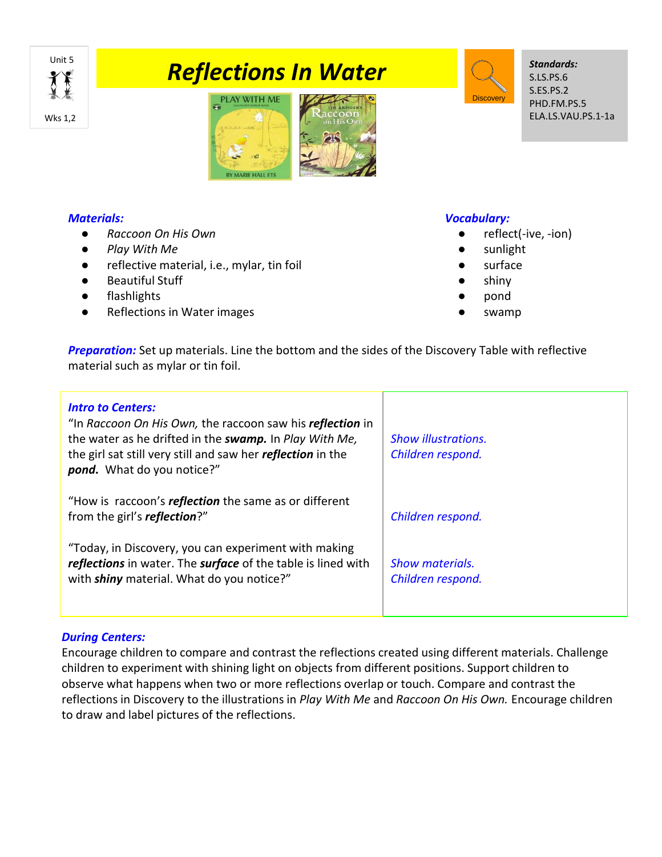# **Taking the Second Temperature Control Control Control Control Control Control Control Control Control Control Control Control Control Control Control Control Control Control Control Control Control Control Control Control**



# *Materials:*

- *Raccoon On His Own*
- *Play With Me*
- reflective material, i.e., mylar, tin foil
- Beautiful Stuff
- flashlights
- Reflections in Water images

### *Vocabulary:*

reflect(-ive, -ion)

*Standards:* S.LS.PS.6 S.ES.PS.2 PHD.FM.PS.5 ELA.LS.VAU.PS.1-1a

● sunlight

**Discovery** 

- surface
- shiny
- pond
- swamp

*Preparation:* Set up materials. Line the bottom and the sides of the Discovery Table with reflective material such as mylar or tin foil.

| <b>Intro to Centers:</b><br>"In Raccoon On His Own, the raccoon saw his reflection in<br>the water as he drifted in the swamp. In Play With Me,<br>the girl sat still very still and saw her <i>reflection</i> in the<br>pond. What do you notice?" | <b>Show illustrations.</b><br>Children respond. |
|-----------------------------------------------------------------------------------------------------------------------------------------------------------------------------------------------------------------------------------------------------|-------------------------------------------------|
| "How is raccoon's reflection the same as or different<br>from the girl's <b><i>reflection</i></b> ?"                                                                                                                                                | Children respond.                               |
| "Today, in Discovery, you can experiment with making<br>reflections in water. The surface of the table is lined with<br>with shiny material. What do you notice?"                                                                                   | <b>Show materials.</b><br>Children respond.     |

# *During Centers:*

Encourage children to compare and contrast the reflections created using different materials. Challenge children to experiment with shining light on objects from different positions. Support children to observe what happens when two or more reflections overlap or touch. Compare and contrast the reflections in Discovery to the illustrations in *Play With Me* and *Raccoon On His Own.* Encourage children to draw and label pictures of the reflections.

Wks 1,2